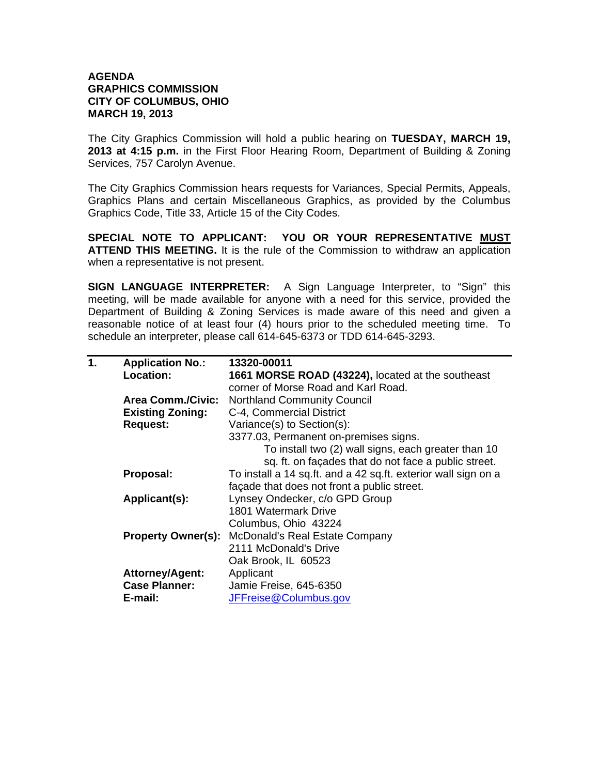## **AGENDA GRAPHICS COMMISSION CITY OF COLUMBUS, OHIO MARCH 19, 2013**

The City Graphics Commission will hold a public hearing on **TUESDAY, MARCH 19, 2013 at 4:15 p.m.** in the First Floor Hearing Room, Department of Building & Zoning Services, 757 Carolyn Avenue.

The City Graphics Commission hears requests for Variances, Special Permits, Appeals, Graphics Plans and certain Miscellaneous Graphics, as provided by the Columbus Graphics Code, Title 33, Article 15 of the City Codes.

**SPECIAL NOTE TO APPLICANT: YOU OR YOUR REPRESENTATIVE MUST ATTEND THIS MEETING.** It is the rule of the Commission to withdraw an application when a representative is not present.

**SIGN LANGUAGE INTERPRETER:** A Sign Language Interpreter, to "Sign" this meeting, will be made available for anyone with a need for this service, provided the Department of Building & Zoning Services is made aware of this need and given a reasonable notice of at least four (4) hours prior to the scheduled meeting time. To schedule an interpreter, please call 614-645-6373 or TDD 614-645-3293.

| 1. | <b>Application No.:</b>   | 13320-00011                                                    |
|----|---------------------------|----------------------------------------------------------------|
|    | Location:                 | 1661 MORSE ROAD (43224), located at the southeast              |
|    |                           | corner of Morse Road and Karl Road.                            |
|    | <b>Area Comm./Civic:</b>  | <b>Northland Community Council</b>                             |
|    | <b>Existing Zoning:</b>   | C-4, Commercial District                                       |
|    | <b>Request:</b>           | Variance(s) to Section(s):                                     |
|    |                           | 3377.03, Permanent on-premises signs.                          |
|    |                           | To install two (2) wall signs, each greater than 10            |
|    |                           | sq. ft. on façades that do not face a public street.           |
|    | Proposal:                 | To install a 14 sq.ft. and a 42 sq.ft. exterior wall sign on a |
|    |                           | façade that does not front a public street.                    |
|    | Applicant(s):             | Lynsey Ondecker, c/o GPD Group                                 |
|    |                           | 1801 Watermark Drive                                           |
|    |                           | Columbus, Ohio 43224                                           |
|    | <b>Property Owner(s):</b> | <b>McDonald's Real Estate Company</b>                          |
|    |                           | 2111 McDonald's Drive                                          |
|    |                           | Oak Brook, IL 60523                                            |
|    | <b>Attorney/Agent:</b>    | Applicant                                                      |
|    | <b>Case Planner:</b>      | Jamie Freise, 645-6350                                         |
|    | E-mail:                   | JFFreise@Columbus.gov                                          |
|    |                           |                                                                |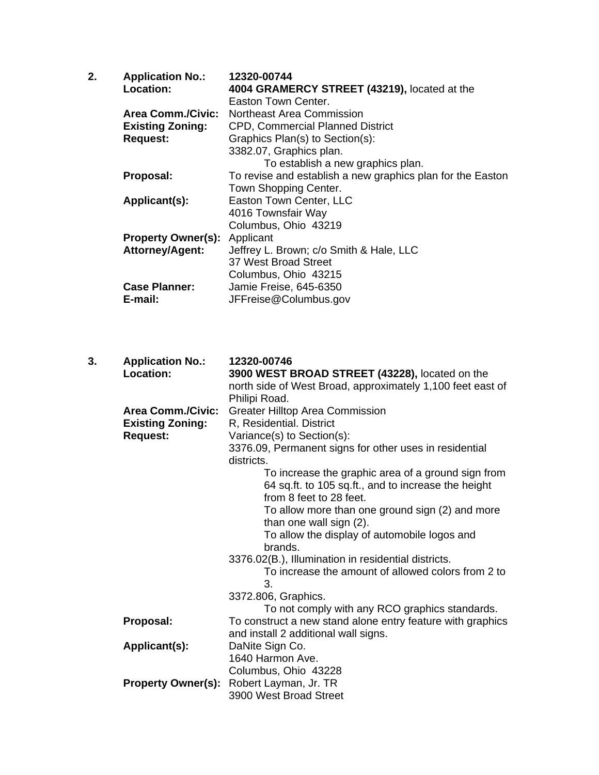| 2. | <b>Application No.:</b>   | 12320-00744                                                |
|----|---------------------------|------------------------------------------------------------|
|    | Location:                 | 4004 GRAMERCY STREET (43219), located at the               |
|    |                           | Easton Town Center.                                        |
|    | Area Comm./Civic:         | Northeast Area Commission                                  |
|    | <b>Existing Zoning:</b>   | <b>CPD, Commercial Planned District</b>                    |
|    | <b>Request:</b>           | Graphics Plan(s) to Section(s):                            |
|    |                           | 3382.07, Graphics plan.                                    |
|    |                           | To establish a new graphics plan.                          |
|    | Proposal:                 | To revise and establish a new graphics plan for the Easton |
|    |                           | Town Shopping Center.                                      |
|    | Applicant(s):             | Easton Town Center, LLC                                    |
|    |                           | 4016 Townsfair Way                                         |
|    |                           | Columbus, Ohio 43219                                       |
|    | <b>Property Owner(s):</b> | Applicant                                                  |
|    | <b>Attorney/Agent:</b>    | Jeffrey L. Brown; c/o Smith & Hale, LLC                    |
|    |                           | 37 West Broad Street                                       |
|    |                           | Columbus, Ohio 43215                                       |
|    | <b>Case Planner:</b>      | Jamie Freise, 645-6350                                     |
|    | E-mail:                   | JFFreise@Columbus.gov                                      |
|    |                           |                                                            |

| 3. | <b>Application No.:</b>   | 12320-00746                                                |
|----|---------------------------|------------------------------------------------------------|
|    | Location:                 | 3900 WEST BROAD STREET (43228), located on the             |
|    |                           | north side of West Broad, approximately 1,100 feet east of |
|    |                           | Philipi Road.                                              |
|    | <b>Area Comm./Civic:</b>  | <b>Greater Hilltop Area Commission</b>                     |
|    | <b>Existing Zoning:</b>   | R, Residential. District                                   |
|    | <b>Request:</b>           | Variance(s) to Section(s):                                 |
|    |                           | 3376.09, Permanent signs for other uses in residential     |
|    |                           | districts.                                                 |
|    |                           | To increase the graphic area of a ground sign from         |
|    |                           | 64 sq.ft. to 105 sq.ft., and to increase the height        |
|    |                           | from 8 feet to 28 feet.                                    |
|    |                           | To allow more than one ground sign (2) and more            |
|    |                           | than one wall sign (2).                                    |
|    |                           | To allow the display of automobile logos and               |
|    |                           | brands.                                                    |
|    |                           | 3376.02(B.), Illumination in residential districts.        |
|    |                           | To increase the amount of allowed colors from 2 to         |
|    |                           | 3.                                                         |
|    |                           | 3372.806, Graphics.                                        |
|    |                           | To not comply with any RCO graphics standards.             |
|    | Proposal:                 | To construct a new stand alone entry feature with graphics |
|    |                           | and install 2 additional wall signs.                       |
|    | Applicant(s):             | DaNite Sign Co.                                            |
|    |                           | 1640 Harmon Ave.                                           |
|    |                           | Columbus, Ohio 43228                                       |
|    | <b>Property Owner(s):</b> | Robert Layman, Jr. TR                                      |
|    |                           | 3900 West Broad Street                                     |